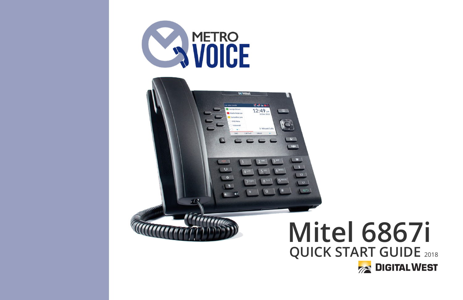



# **QUICK START GUIDE** <sup>2018</sup> **Mitel 6867i**

**DIGITAL WEST**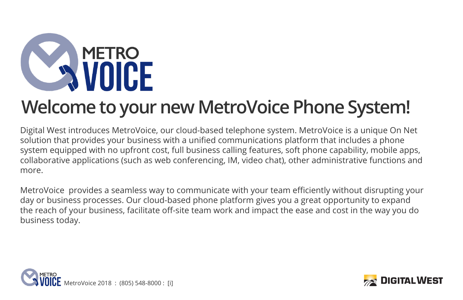

## **Welcome to your new MetroVoice Phone System!**

Digital West introduces MetroVoice, our cloud-based telephone system. MetroVoice is a unique On Net solution that provides your business with a unified communications platform that includes a phone system equipped with no upfront cost, full business calling features, soft phone capability, mobile apps, collaborative applications (such as web conferencing, IM, video chat), other administrative functions and more.

MetroVoice provides a seamless way to communicate with your team efficiently without disrupting your day or business processes. Our cloud-based phone platform gives you a great opportunity to expand the reach of your business, facilitate off-site team work and impact the ease and cost in the way you do business today.



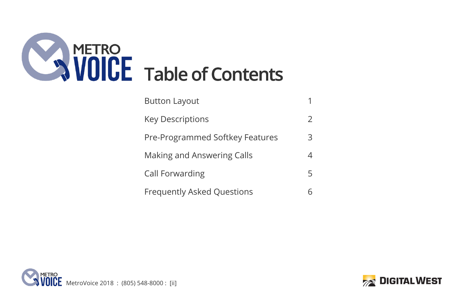

| <b>Button Layout</b>              |   |
|-----------------------------------|---|
| <b>Key Descriptions</b>           | 2 |
| Pre-Programmed Softkey Features   | 3 |
| Making and Answering Calls        | 4 |
| Call Forwarding                   | 5 |
| <b>Frequently Asked Questions</b> |   |



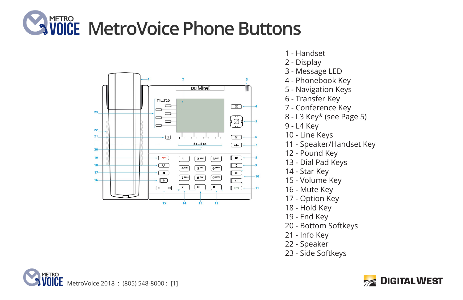### **METRO MetroVoice Phone Buttons**



- 1 Handset
- 2 Display
- 3 Message LED
- 4 Phonebook Key
- 5 Navigation Keys
- 6 Transfer Key
- 7 Conference Key
- 8 L3 Key\* (see Page 5)
- 9 L4 Key
- 10 Line Keys
- 11 Speaker/Handset Key
- 12 Pound Key
- 13 Dial Pad Keys
- 14 Star Key
- 15 Volume Key
- 16 Mute Key
- 17 Option Key
- 18 Hold Key
- 19 End Key
- 20 Bottom Softkeys
- 21 Info Key
- 22 Speaker
- 23 Side Softkeys



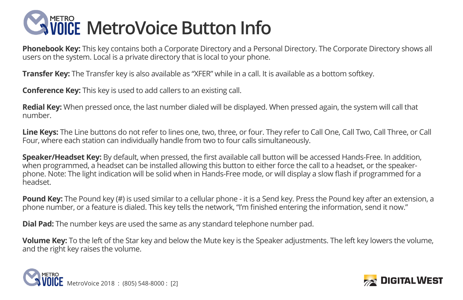

**Phonebook Key:** This key contains both a Corporate Directory and a Personal Directory. The Corporate Directory shows all users on the system. Local is a private directory that is local to your phone.

**Transfer Key:** The Transfer key is also available as "XFER" while in a call. It is available as a bottom softkey.

**Conference Key:** This key is used to add callers to an existing call.

**Redial Key:** When pressed once, the last number dialed will be displayed. When pressed again, the system will call that number.

**Line Keys:** The Line buttons do not refer to lines one, two, three, or four. They refer to Call One, Call Two, Call Three, or Call Four, where each station can individually handle from two to four calls simultaneously.

**Speaker/Headset Key:** By default, when pressed, the first available call button will be accessed Hands-Free. In addition, when programmed, a headset can be installed allowing this button to either force the call to a headset, or the speakerphone. Note: The light indication will be solid when in Hands-Free mode, or will display a slow flash if programmed for a headset.

**Pound Key:** The Pound key (#) is used similar to a cellular phone - it is a Send key. Press the Pound key after an extension, a phone number, or a feature is dialed. This key tells the network, "I'm finished entering the information, send it now."

**Dial Pad:** The number keys are used the same as any standard telephone number pad.

**Volume Key:** To the left of the Star key and below the Mute key is the Speaker adjustments. The left key lowers the volume, and the right key raises the volume.



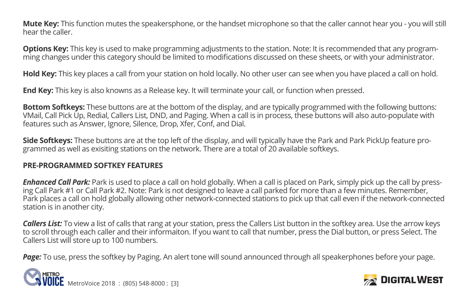**Mute Key:** This function mutes the speakersphone, or the handset microphone so that the caller cannot hear you - you will still hear the caller.

**Options Key:** This key is used to make programming adjustments to the station. Note: It is recommended that any programming changes under this category should be limited to modifications discussed on these sheets, or with your administrator.

**Hold Key:** This key places a call from your station on hold locally. No other user can see when you have placed a call on hold.

**End Key:** This key is also knowns as a Release key. It will terminate your call, or function when pressed.

**Bottom Softkeys:** These buttons are at the bottom of the display, and are typically programmed with the following buttons: VMail, Call Pick Up, Redial, Callers List, DND, and Paging. When a call is in process, these buttons will also auto-populate with features such as Answer, Ignore, Silence, Drop, Xfer, Conf, and Dial.

**Side Softkeys:** These buttons are at the top left of the display, and will typically have the Park and Park PickUp feature programmed as well as exisiting stations on the network. There are a total of 20 available softkeys.

#### **PRE-PROGRAMMED SOFTKEY FEATURES**

*Enhanced Call Park:* Park is used to place a call on hold globally. When a call is placed on Park, simply pick up the call by pressing Call Park #1 or Call Park #2. Note: Park is not designed to leave a call parked for more than a few minutes. Remember, Park places a call on hold globally allowing other network-connected stations to pick up that call even if the network-connected station is in another city.

*Callers List:* To view a list of calls that rang at your station, press the Callers List button in the softkey area. Use the arrow keys to scroll through each caller and their informaiton. If you want to call that number, press the Dial button, or press Select. The Callers List will store up to 100 numbers.

Page: To use, press the softkey by Paging. An alert tone will sound announced through all speakerphones before vour page.



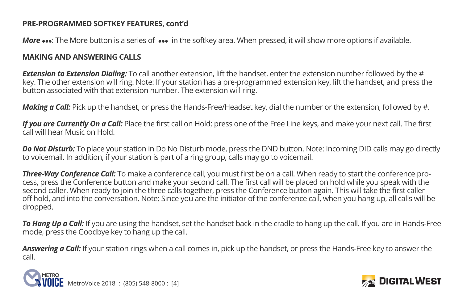#### **PRE-PROGRAMMED SOFTKEY FEATURES, cont'd**

*More* •••: The More button is a series of ••• in the softkey area. When pressed, it will show more options if available.

#### **MAKING AND ANSWERING CALLS**

*Extension to Extension Dialing:* To call another extension, lift the handset, enter the extension number followed by the # key. The other extension will ring. Note: If your station has a pre-programmed extension key, lift the handset, and press the button associated with that extension number. The extension will ring.

*Making a Call:* Pick up the handset, or press the Hands-Free/Headset key, dial the number or the extension, followed by #.

*If you are Currently On a Call:* Place the first call on Hold; press one of the Free Line keys, and make your next call. The first call will hear Music on Hold.

*Do Not Disturb:* To place your station in Do No Disturb mode, press the DND button. Note: Incoming DID calls may go directly to voicemail. In addition, if your station is part of a ring group, calls may go to voicemail.

*Three-Way Conference Call:* To make a conference call, you must first be on a call. When ready to start the conference process, press the Conference button and make your second call. The first call will be placed on hold while you speak with the second caller. When ready to join the three calls together, press the Conference button again. This will take the first caller off hold, and into the conversation. Note: Since you are the initiator of the conference call, when you hang up, all calls will be dropped.

*To Hang Up a Call:* If you are using the handset, set the handset back in the cradle to hang up the call. If you are in Hands-Free mode, press the Goodbye key to hang up the call.

*Answering a Call:* If your station rings when a call comes in, pick up the handset, or press the Hands-Free key to answer the call.



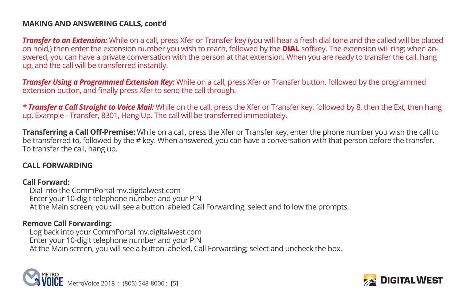#### **MAKING AND ANSWERING CALLS, cont'd**

*Transfer to an Extension:* While on a call, press Xfer or Transfer key (you will hear a fresh dial tone and the called will be placed on hold,) then enter the extension number you wish to reach, followed by the **DIAL** softkey. The extension will ring; when answered, you can have a private conversation with the person at that extension. When you are ready to transfer the call, hang up, and the call will be transferred instantly.

*Transfer Using a Programmed Extension Key:* While on a call, press Xfer or Transfer button, followed by the programmed extension button, and finally press Xfer to send the call through.

*\* Transfer a Call Straight to Voice Mail:* While on the call, press the Xfer or Transfer key, followed by 8, then the Ext, then hang up. Example - Transfer, 8301, Hang Up. The call will be transferred immediately.

**Transferring a Call Off-Premise:** While on a call, press the Xfer or Transfer key, enter the phone number you wish the call to be transferred to, followed by the # key. When answered, you can have a conversation with that person before the transfer. To transfer the call, hang up.

#### **CALL FORWARDING**

#### **Call Forward:**

 Dial into the CommPortal mv.digitalwest.com Enter your 10-digit telephone number and your PIN At the Main screen, you will see a button labeled Call Forwarding, select and follow the prompts.

#### **Remove Call Forwarding:**

 Log back into your CommPortal mv.digitalwest.com Enter your 10-digit telephone number and your PIN At the Main screen, you will see a button labeled, Call Forwarding; select and uncheck the box.